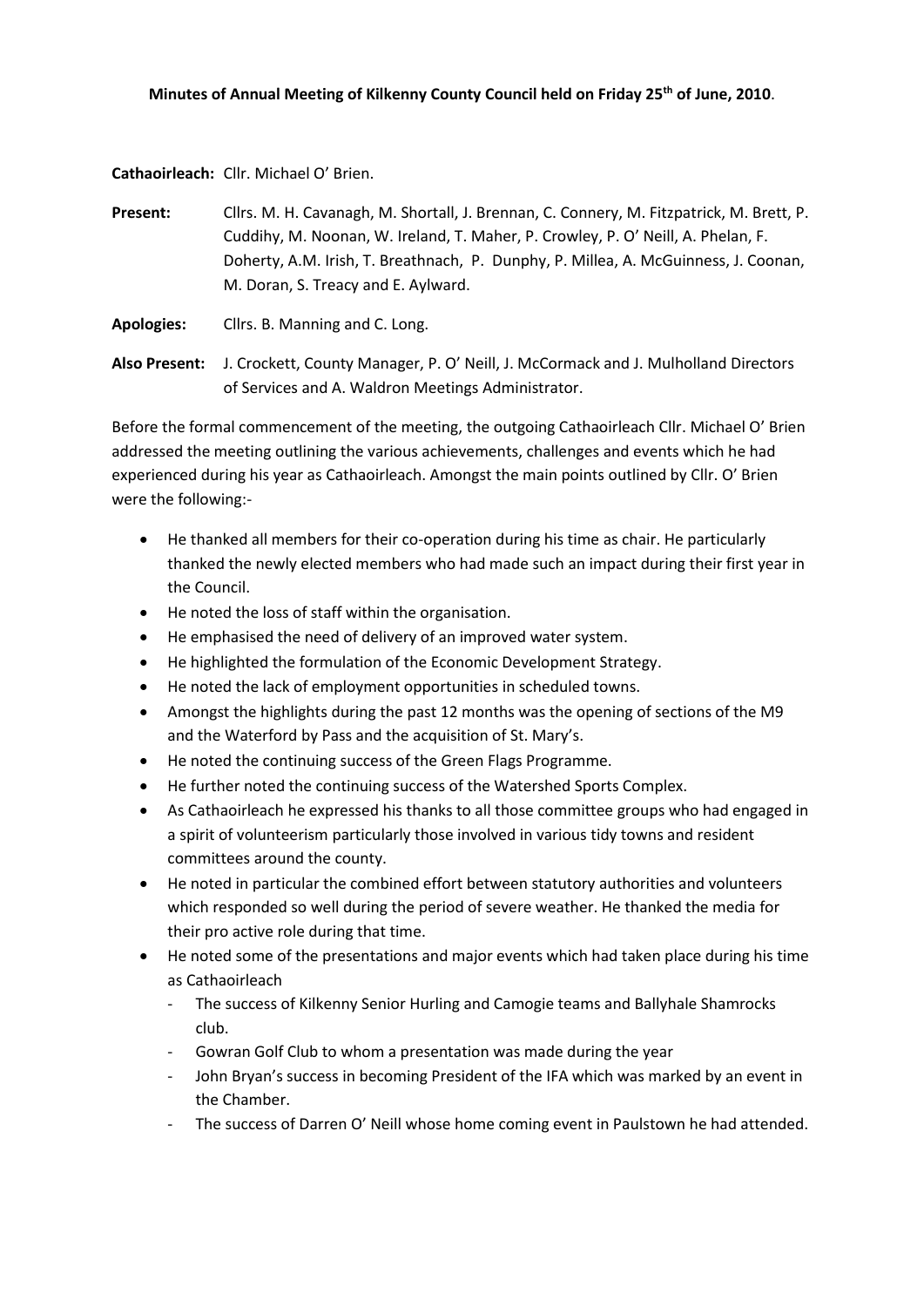#### **Minutes of Annual Meeting of Kilkenny County Council held on Friday 25th of June, 2010**.

**Cathaoirleach:** Cllr. Michael O' Brien.

**Present:** Cllrs. M. H. Cavanagh, M. Shortall, J. Brennan, C. Connery, M. Fitzpatrick, M. Brett, P. Cuddihy, M. Noonan, W. Ireland, T. Maher, P. Crowley, P. O' Neill, A. Phelan, F. Doherty, A.M. Irish, T. Breathnach, P. Dunphy, P. Millea, A. McGuinness, J. Coonan, M. Doran, S. Treacy and E. Aylward.

**Apologies:** Cllrs. B. Manning and C. Long.

**Also Present:** J. Crockett, County Manager, P. O' Neill, J. McCormack and J. Mulholland Directors of Services and A. Waldron Meetings Administrator.

Before the formal commencement of the meeting, the outgoing Cathaoirleach Cllr. Michael O' Brien addressed the meeting outlining the various achievements, challenges and events which he had experienced during his year as Cathaoirleach. Amongst the main points outlined by Cllr. O' Brien were the following:-

- He thanked all members for their co-operation during his time as chair. He particularly thanked the newly elected members who had made such an impact during their first year in the Council.
- He noted the loss of staff within the organisation.
- He emphasised the need of delivery of an improved water system.
- He highlighted the formulation of the Economic Development Strategy.
- He noted the lack of employment opportunities in scheduled towns.
- Amongst the highlights during the past 12 months was the opening of sections of the M9 and the Waterford by Pass and the acquisition of St. Mary's.
- He noted the continuing success of the Green Flags Programme.
- He further noted the continuing success of the Watershed Sports Complex.
- As Cathaoirleach he expressed his thanks to all those committee groups who had engaged in a spirit of volunteerism particularly those involved in various tidy towns and resident committees around the county.
- He noted in particular the combined effort between statutory authorities and volunteers which responded so well during the period of severe weather. He thanked the media for their pro active role during that time.
- He noted some of the presentations and major events which had taken place during his time as Cathaoirleach
	- The success of Kilkenny Senior Hurling and Camogie teams and Ballyhale Shamrocks club.
	- Gowran Golf Club to whom a presentation was made during the year
	- John Bryan's success in becoming President of the IFA which was marked by an event in the Chamber.
	- The success of Darren O' Neill whose home coming event in Paulstown he had attended.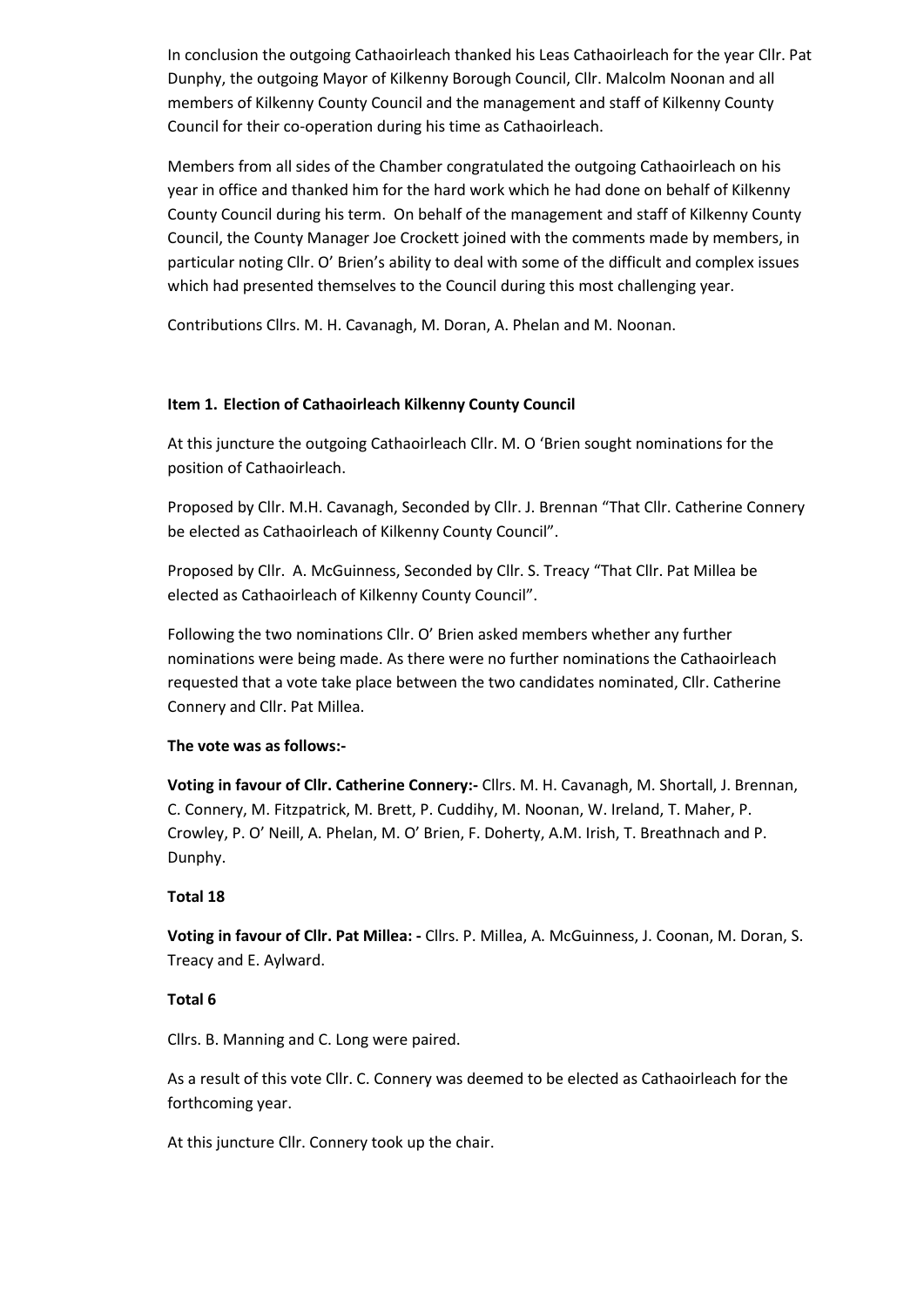In conclusion the outgoing Cathaoirleach thanked his Leas Cathaoirleach for the year Cllr. Pat Dunphy, the outgoing Mayor of Kilkenny Borough Council, Cllr. Malcolm Noonan and all members of Kilkenny County Council and the management and staff of Kilkenny County Council for their co-operation during his time as Cathaoirleach.

Members from all sides of the Chamber congratulated the outgoing Cathaoirleach on his year in office and thanked him for the hard work which he had done on behalf of Kilkenny County Council during his term. On behalf of the management and staff of Kilkenny County Council, the County Manager Joe Crockett joined with the comments made by members, in particular noting Cllr. O' Brien's ability to deal with some of the difficult and complex issues which had presented themselves to the Council during this most challenging year.

Contributions Cllrs. M. H. Cavanagh, M. Doran, A. Phelan and M. Noonan.

## **Item 1. Election of Cathaoirleach Kilkenny County Council**

At this juncture the outgoing Cathaoirleach Cllr. M. O 'Brien sought nominations for the position of Cathaoirleach.

Proposed by Cllr. M.H. Cavanagh, Seconded by Cllr. J. Brennan "That Cllr. Catherine Connery be elected as Cathaoirleach of Kilkenny County Council".

Proposed by Cllr. A. McGuinness, Seconded by Cllr. S. Treacy "That Cllr. Pat Millea be elected as Cathaoirleach of Kilkenny County Council".

Following the two nominations Cllr. O' Brien asked members whether any further nominations were being made. As there were no further nominations the Cathaoirleach requested that a vote take place between the two candidates nominated, Cllr. Catherine Connery and Cllr. Pat Millea.

#### **The vote was as follows:-**

**Voting in favour of Cllr. Catherine Connery:-** Cllrs. M. H. Cavanagh, M. Shortall, J. Brennan, C. Connery, M. Fitzpatrick, M. Brett, P. Cuddihy, M. Noonan, W. Ireland, T. Maher, P. Crowley, P. O' Neill, A. Phelan, M. O' Brien, F. Doherty, A.M. Irish, T. Breathnach and P. Dunphy.

#### **Total 18**

**Voting in favour of Cllr. Pat Millea: -** Cllrs. P. Millea, A. McGuinness, J. Coonan, M. Doran, S. Treacy and E. Aylward.

## **Total 6**

Cllrs. B. Manning and C. Long were paired.

As a result of this vote Cllr. C. Connery was deemed to be elected as Cathaoirleach for the forthcoming year.

At this juncture Cllr. Connery took up the chair.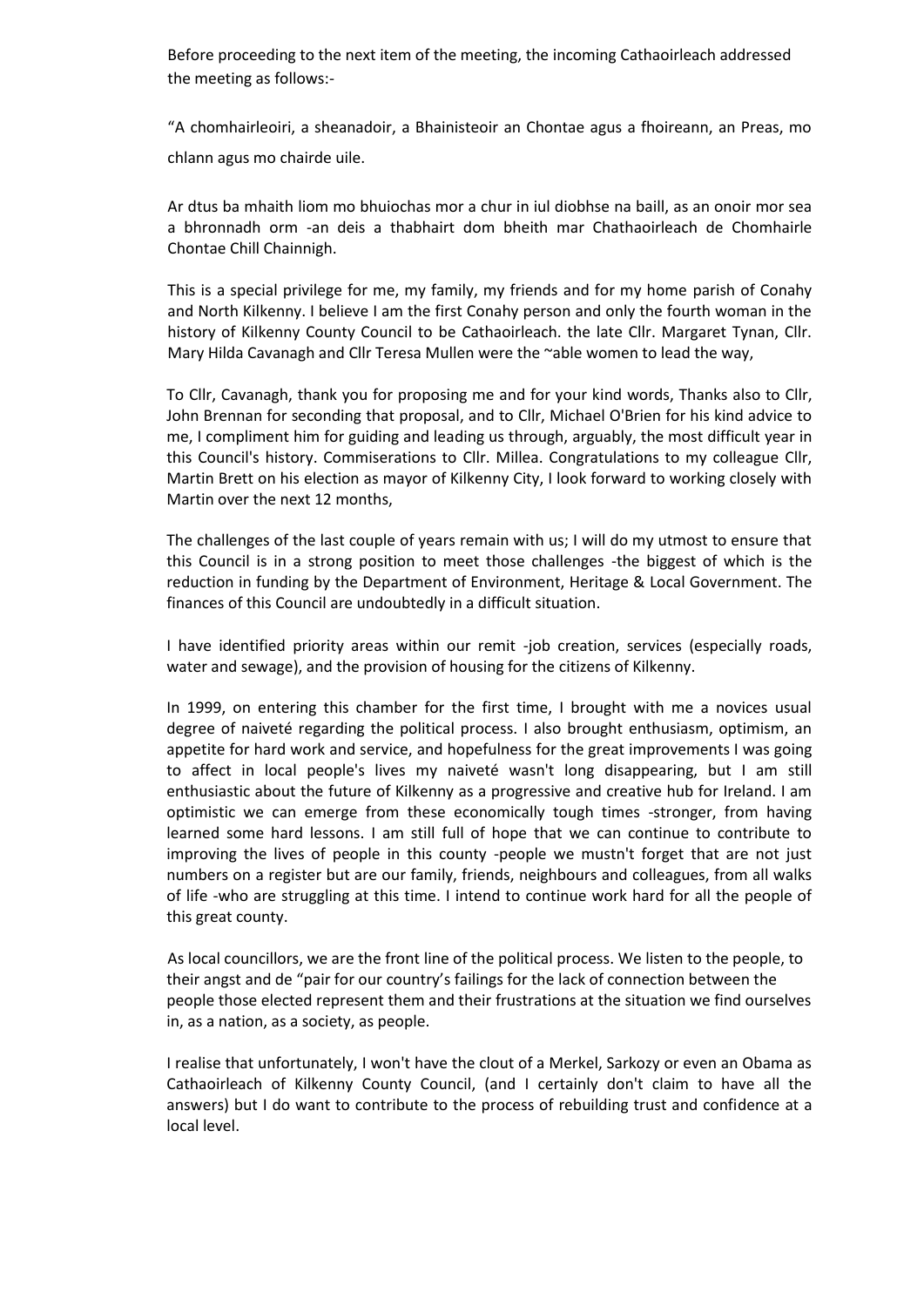Before proceeding to the next item of the meeting, the incoming Cathaoirleach addressed the meeting as follows:-

"A chomhairleoiri, a sheanadoir, a Bhainisteoir an Chontae agus a fhoireann, an Preas, mo chlann agus mo chairde uile.

Ar dtus ba mhaith liom mo bhuiochas mor a chur in iul diobhse na baill, as an onoir mor sea a bhronnadh orm -an deis a thabhairt dom bheith mar Chathaoirleach de Chomhairle Chontae Chill Chainnigh.

This is a special privilege for me, my family, my friends and for my home parish of Conahy and North Kilkenny. I believe I am the first Conahy person and only the fourth woman in the history of Kilkenny County Council to be Cathaoirleach. the late Cllr. Margaret Tynan, Cllr. Mary Hilda Cavanagh and Cllr Teresa Mullen were the ~able women to lead the way,

To Cllr, Cavanagh, thank you for proposing me and for your kind words, Thanks also to Cllr, John Brennan for seconding that proposal, and to Cllr, Michael O'Brien for his kind advice to me, I compliment him for guiding and leading us through, arguably, the most difficult year in this Council's history. Commiserations to Cllr. Millea. Congratulations to my colleague Cllr, Martin Brett on his election as mayor of Kilkenny City, I look forward to working closely with Martin over the next 12 months,

The challenges of the last couple of years remain with us; I will do my utmost to ensure that this Council is in a strong position to meet those challenges -the biggest of which is the reduction in funding by the Department of Environment, Heritage & Local Government. The finances of this Council are undoubtedly in a difficult situation.

I have identified priority areas within our remit -job creation, services (especially roads, water and sewage), and the provision of housing for the citizens of Kilkenny.

In 1999, on entering this chamber for the first time, I brought with me a novices usual degree of naiveté regarding the political process. I also brought enthusiasm, optimism, an appetite for hard work and service, and hopefulness for the great improvements I was going to affect in local people's lives my naiveté wasn't long disappearing, but I am still enthusiastic about the future of Kilkenny as a progressive and creative hub for Ireland. I am optimistic we can emerge from these economically tough times -stronger, from having learned some hard lessons. I am still full of hope that we can continue to contribute to improving the lives of people in this county -people we mustn't forget that are not just numbers on a register but are our family, friends, neighbours and colleagues, from all walks of life -who are struggling at this time. I intend to continue work hard for all the people of this great county.

As local councillors, we are the front line of the political process. We listen to the people, to their angst and de "pair for our country's failings for the lack of connection between the people those elected represent them and their frustrations at the situation we find ourselves in, as a nation, as a society, as people.

I realise that unfortunately, I won't have the clout of a Merkel, Sarkozy or even an Obama as Cathaoirleach of Kilkenny County Council, (and I certainly don't claim to have all the answers) but I do want to contribute to the process of rebuilding trust and confidence at a local level.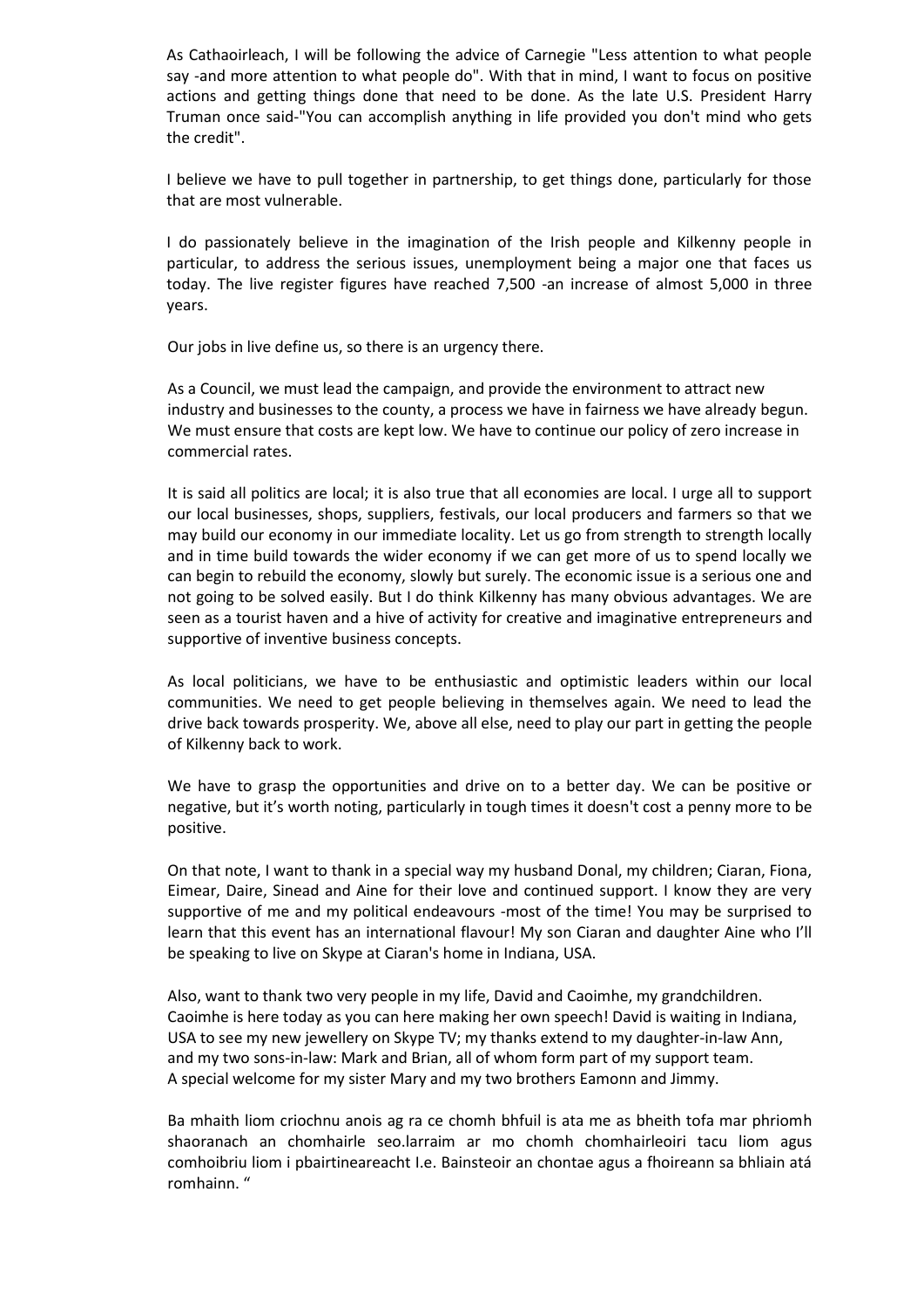As Cathaoirleach, I will be following the advice of Carnegie "Less attention to what people say -and more attention to what people do". With that in mind, I want to focus on positive actions and getting things done that need to be done. As the late U.S. President Harry Truman once said-"You can accomplish anything in life provided you don't mind who gets the credit".

I believe we have to pull together in partnership, to get things done, particularly for those that are most vulnerable.

I do passionately believe in the imagination of the Irish people and Kilkenny people in particular, to address the serious issues, unemployment being a major one that faces us today. The live register figures have reached 7,500 -an increase of almost 5,000 in three years.

Our jobs in live define us, so there is an urgency there.

As a Council, we must lead the campaign, and provide the environment to attract new industry and businesses to the county, a process we have in fairness we have already begun. We must ensure that costs are kept low. We have to continue our policy of zero increase in commercial rates.

It is said all politics are local; it is also true that all economies are local. I urge all to support our local businesses, shops, suppliers, festivals, our local producers and farmers so that we may build our economy in our immediate locality. Let us go from strength to strength locally and in time build towards the wider economy if we can get more of us to spend locally we can begin to rebuild the economy, slowly but surely. The economic issue is a serious one and not going to be solved easily. But I do think Kilkenny has many obvious advantages. We are seen as a tourist haven and a hive of activity for creative and imaginative entrepreneurs and supportive of inventive business concepts.

As local politicians, we have to be enthusiastic and optimistic leaders within our local communities. We need to get people believing in themselves again. We need to lead the drive back towards prosperity. We, above all else, need to play our part in getting the people of Kilkenny back to work.

We have to grasp the opportunities and drive on to a better day. We can be positive or negative, but it's worth noting, particularly in tough times it doesn't cost a penny more to be positive.

On that note, I want to thank in a special way my husband Donal, my children; Ciaran, Fiona, Eimear, Daire, Sinead and Aine for their love and continued support. I know they are very supportive of me and my political endeavours -most of the time! You may be surprised to learn that this event has an international flavour! My son Ciaran and daughter Aine who I'll be speaking to live on Skype at Ciaran's home in Indiana, USA.

Also, want to thank two very people in my life, David and Caoimhe, my grandchildren. Caoimhe is here today as you can here making her own speech! David is waiting in Indiana, USA to see my new jewellery on Skype TV; my thanks extend to my daughter-in-law Ann, and my two sons-in-law: Mark and Brian, all of whom form part of my support team. A special welcome for my sister Mary and my two brothers Eamonn and Jimmy.

Ba mhaith liom criochnu anois ag ra ce chomh bhfuil is ata me as bheith tofa mar phriomh shaoranach an chomhairle seo.larraim ar mo chomh chomhairleoiri tacu liom agus comhoibriu liom i pbairtineareacht I.e. Bainsteoir an chontae agus a fhoireann sa bhliain atá romhainn. "